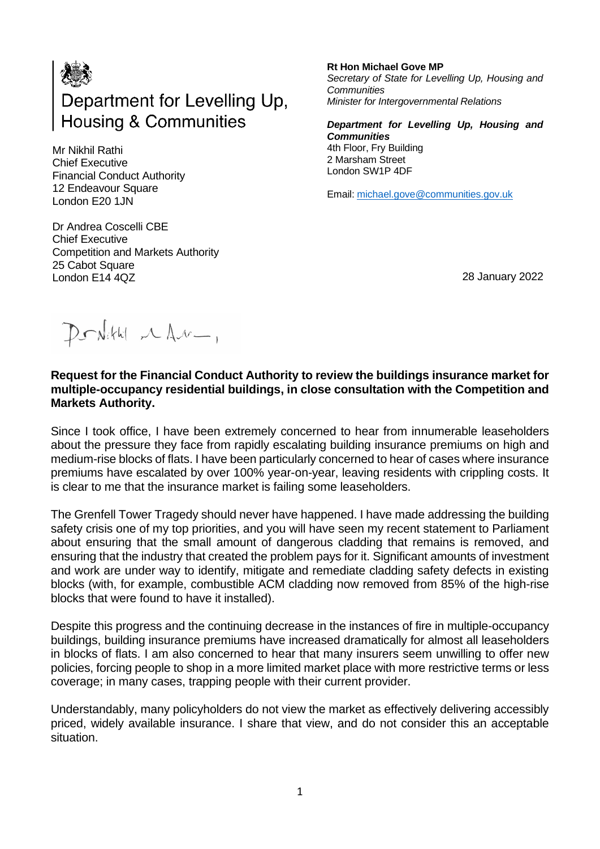

Mr Nikhil Rathi Chief Executive Financial Conduct Authority 12 Endeavour Square London E20 1JN

Dr Andrea Coscelli CBE Chief Executive Competition and Markets Authority 25 Cabot Square London E14 4QZ

**Rt Hon Michael Gove MP** *Secretary of State for Levelling Up, Housing and Communities Minister for Intergovernmental Relations*

*Department for Levelling Up, Housing and Communities*  4th Floor, Fry Building 2 Marsham Street London SW1P 4DF

Email: [michael.gove@communities.gov.uk](mailto:michael.gove@communities.gov.uk)

28 January 2022

Donkith MAN-,

## **Request for the Financial Conduct Authority to review the buildings insurance market for multiple-occupancy residential buildings, in close consultation with the Competition and Markets Authority.**

Since I took office, I have been extremely concerned to hear from innumerable leaseholders about the pressure they face from rapidly escalating building insurance premiums on high and medium-rise blocks of flats. I have been particularly concerned to hear of cases where insurance premiums have escalated by over 100% year-on-year, leaving residents with crippling costs. It is clear to me that the insurance market is failing some leaseholders.

The Grenfell Tower Tragedy should never have happened. I have made addressing the building safety crisis one of my top priorities, and you will have seen my recent statement to Parliament about ensuring that the small amount of dangerous cladding that remains is removed, and ensuring that the industry that created the problem pays for it. Significant amounts of investment and work are under way to identify, mitigate and remediate cladding safety defects in existing blocks (with, for example, combustible ACM cladding now removed from 85% of the high-rise blocks that were found to have it installed).

Despite this progress and the continuing decrease in the instances of fire in multiple-occupancy buildings, building insurance premiums have increased dramatically for almost all leaseholders in blocks of flats. I am also concerned to hear that many insurers seem unwilling to offer new policies, forcing people to shop in a more limited market place with more restrictive terms or less coverage; in many cases, trapping people with their current provider.

Understandably, many policyholders do not view the market as effectively delivering accessibly priced, widely available insurance. I share that view, and do not consider this an acceptable situation.